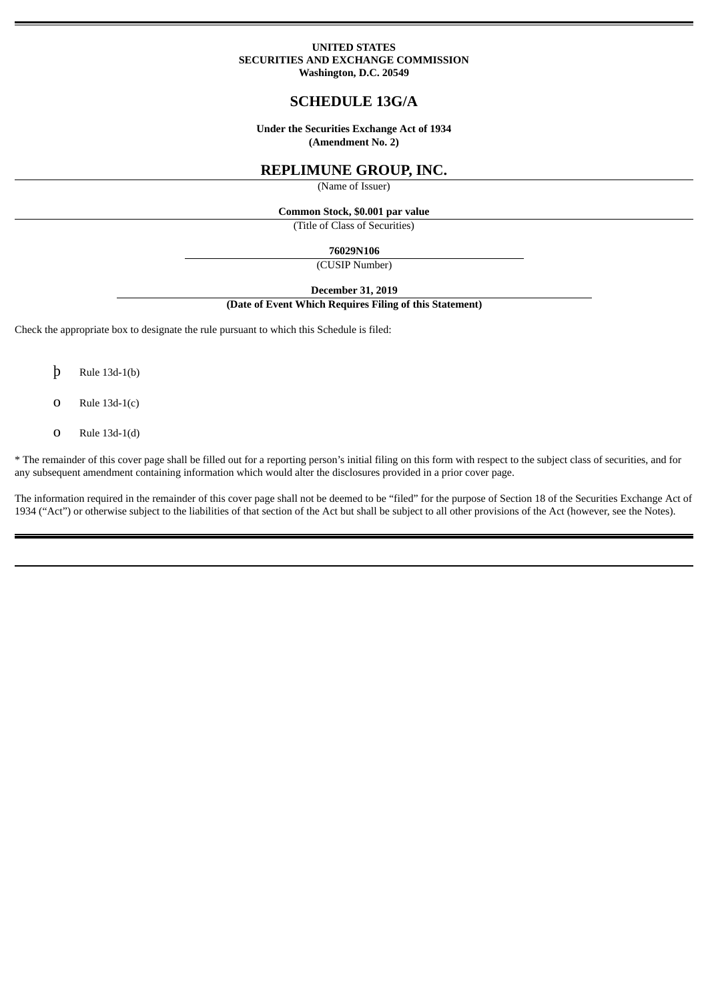### **UNITED STATES SECURITIES AND EXCHANGE COMMISSION Washington, D.C. 20549**

# **SCHEDULE 13G/A**

**Under the Securities Exchange Act of 1934 (Amendment No. 2)**

# **REPLIMUNE GROUP, INC.**

(Name of Issuer)

**Common Stock, \$0.001 par value**

(Title of Class of Securities)

**76029N106**

(CUSIP Number)

**December 31, 2019**

#### **(Date of Event Which Requires Filing of this Statement)**

Check the appropriate box to designate the rule pursuant to which this Schedule is filed:

- þ Rule 13d-1(b)
- o Rule 13d-1(c)
- o Rule 13d-1(d)

\* The remainder of this cover page shall be filled out for a reporting person's initial filing on this form with respect to the subject class of securities, and for any subsequent amendment containing information which would alter the disclosures provided in a prior cover page.

The information required in the remainder of this cover page shall not be deemed to be "filed" for the purpose of Section 18 of the Securities Exchange Act of 1934 ("Act") or otherwise subject to the liabilities of that section of the Act but shall be subject to all other provisions of the Act (however, see the Notes).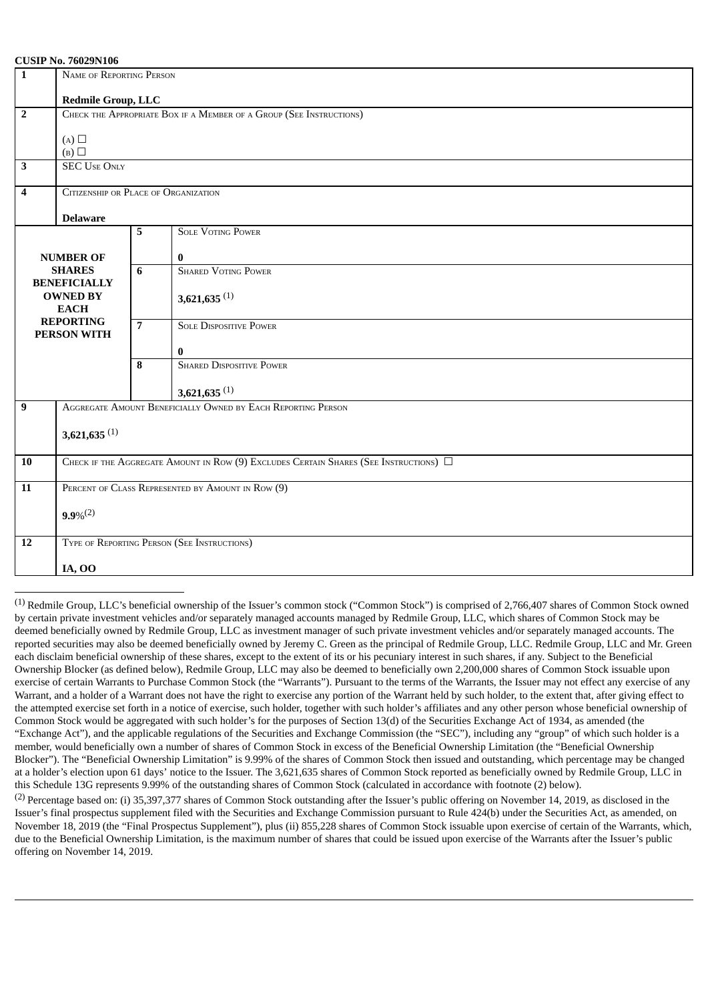#### **CUSIP No. 76029N106**

| $\mathbf{1}$                                                                               | <b>COOH TW. TOULDITIOU</b><br>NAME OF REPORTING PERSON                              |                |                                 |  |  |  |
|--------------------------------------------------------------------------------------------|-------------------------------------------------------------------------------------|----------------|---------------------------------|--|--|--|
|                                                                                            | <b>Redmile Group, LLC</b>                                                           |                |                                 |  |  |  |
| $\overline{2}$                                                                             | CHECK THE APPROPRIATE BOX IF A MEMBER OF A GROUP (SEE INSTRUCTIONS)                 |                |                                 |  |  |  |
|                                                                                            | $(A)$ $\square$                                                                     |                |                                 |  |  |  |
|                                                                                            | $(B)$ $\square$                                                                     |                |                                 |  |  |  |
| $\overline{\mathbf{3}}$                                                                    | <b>SEC USE ONLY</b>                                                                 |                |                                 |  |  |  |
| $\boldsymbol{4}$                                                                           | CITIZENSHIP OR PLACE OF ORGANIZATION                                                |                |                                 |  |  |  |
|                                                                                            | <b>Delaware</b>                                                                     |                |                                 |  |  |  |
|                                                                                            |                                                                                     | 5              | <b>SOLE VOTING POWER</b>        |  |  |  |
| <b>NUMBER OF</b><br><b>SHARES</b><br><b>BENEFICIALLY</b><br><b>OWNED BY</b><br><b>EACH</b> |                                                                                     |                | $\bf{0}$                        |  |  |  |
|                                                                                            |                                                                                     | 6              | <b>SHARED VOTING POWER</b>      |  |  |  |
|                                                                                            |                                                                                     |                | $3,621,635$ <sup>(1)</sup>      |  |  |  |
|                                                                                            |                                                                                     |                |                                 |  |  |  |
| <b>REPORTING</b><br>PERSON WITH                                                            |                                                                                     | $\overline{7}$ | <b>SOLE DISPOSITIVE POWER</b>   |  |  |  |
|                                                                                            |                                                                                     |                | $\bf{0}$                        |  |  |  |
|                                                                                            |                                                                                     | 8              | <b>SHARED DISPOSITIVE POWER</b> |  |  |  |
|                                                                                            |                                                                                     |                | $3,621,635$ <sup>(1)</sup>      |  |  |  |
| $\overline{9}$                                                                             | AGGREGATE AMOUNT BENEFICIALLY OWNED BY EACH REPORTING PERSON                        |                |                                 |  |  |  |
|                                                                                            | $3,621,635$ <sup>(1)</sup>                                                          |                |                                 |  |  |  |
|                                                                                            |                                                                                     |                |                                 |  |  |  |
| <b>10</b>                                                                                  | CHECK IF THE AGGREGATE AMOUNT IN ROW (9) EXCLUDES CERTAIN SHARES (SEE INSTRUCTIONS) |                |                                 |  |  |  |
| 11                                                                                         | PERCENT OF CLASS REPRESENTED BY AMOUNT IN ROW (9)                                   |                |                                 |  |  |  |
|                                                                                            | $9.9\%^{(2)}$                                                                       |                |                                 |  |  |  |
|                                                                                            |                                                                                     |                |                                 |  |  |  |
| 12                                                                                         | TYPE OF REPORTING PERSON (SEE INSTRUCTIONS)                                         |                |                                 |  |  |  |
|                                                                                            | <b>IA, OO</b>                                                                       |                |                                 |  |  |  |

 $<sup>(1)</sup>$  Redmile Group, LLC's beneficial ownership of the Issuer's common stock ("Common Stock") is comprised of 2,766,407 shares of Common Stock owned</sup> by certain private investment vehicles and/or separately managed accounts managed by Redmile Group, LLC, which shares of Common Stock may be deemed beneficially owned by Redmile Group, LLC as investment manager of such private investment vehicles and/or separately managed accounts. The reported securities may also be deemed beneficially owned by Jeremy C. Green as the principal of Redmile Group, LLC. Redmile Group, LLC and Mr. Green each disclaim beneficial ownership of these shares, except to the extent of its or his pecuniary interest in such shares, if any. Subject to the Beneficial Ownership Blocker (as defined below), Redmile Group, LLC may also be deemed to beneficially own 2,200,000 shares of Common Stock issuable upon exercise of certain Warrants to Purchase Common Stock (the "Warrants"). Pursuant to the terms of the Warrants, the Issuer may not effect any exercise of any Warrant, and a holder of a Warrant does not have the right to exercise any portion of the Warrant held by such holder, to the extent that, after giving effect to the attempted exercise set forth in a notice of exercise, such holder, together with such holder's affiliates and any other person whose beneficial ownership of Common Stock would be aggregated with such holder's for the purposes of Section 13(d) of the Securities Exchange Act of 1934, as amended (the "Exchange Act"), and the applicable regulations of the Securities and Exchange Commission (the "SEC"), including any "group" of which such holder is a member, would beneficially own a number of shares of Common Stock in excess of the Beneficial Ownership Limitation (the "Beneficial Ownership Blocker"). The "Beneficial Ownership Limitation" is 9.99% of the shares of Common Stock then issued and outstanding, which percentage may be changed at a holder's election upon 61 days' notice to the Issuer. The 3,621,635 shares of Common Stock reported as beneficially owned by Redmile Group, LLC in this Schedule 13G represents 9.99% of the outstanding shares of Common Stock (calculated in accordance with footnote (2) below).

(2) Percentage based on: (i) 35,397,377 shares of Common Stock outstanding after the Issuer's public offering on November 14, 2019, as disclosed in the Issuer's final prospectus supplement filed with the Securities and Exchange Commission pursuant to Rule 424(b) under the Securities Act, as amended, on November 18, 2019 (the "Final Prospectus Supplement"), plus (ii) 855,228 shares of Common Stock issuable upon exercise of certain of the Warrants, which, due to the Beneficial Ownership Limitation, is the maximum number of shares that could be issued upon exercise of the Warrants after the Issuer's public offering on November 14, 2019.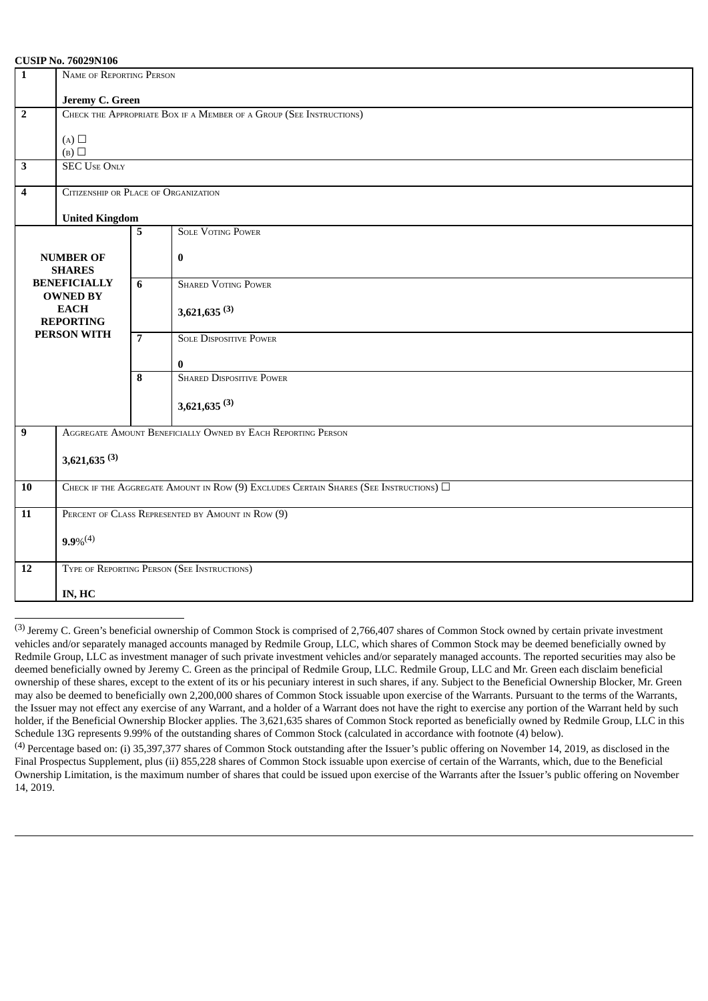#### **CUSIP No. 76029N106**

| $\overline{1}$<br>NAME OF REPORTING PERSON                                                                                           |                                                                                            |                |                                             |  |  |  |
|--------------------------------------------------------------------------------------------------------------------------------------|--------------------------------------------------------------------------------------------|----------------|---------------------------------------------|--|--|--|
|                                                                                                                                      | Jeremy C. Green                                                                            |                |                                             |  |  |  |
| $\overline{2}$                                                                                                                       | CHECK THE APPROPRIATE BOX IF A MEMBER OF A GROUP (SEE INSTRUCTIONS)                        |                |                                             |  |  |  |
|                                                                                                                                      | (A)<br>(B)                                                                                 |                |                                             |  |  |  |
| $\overline{\mathbf{3}}$                                                                                                              | <b>SEC USE ONLY</b>                                                                        |                |                                             |  |  |  |
| $\overline{4}$                                                                                                                       | CITIZENSHIP OR PLACE OF ORGANIZATION                                                       |                |                                             |  |  |  |
|                                                                                                                                      | <b>United Kingdom</b>                                                                      |                |                                             |  |  |  |
|                                                                                                                                      |                                                                                            | 5              | <b>SOLE VOTING POWER</b>                    |  |  |  |
| <b>NUMBER OF</b><br><b>SHARES</b><br><b>BENEFICIALLY</b><br><b>OWNED BY</b><br><b>EACH</b><br><b>REPORTING</b><br><b>PERSON WITH</b> |                                                                                            |                | $\bf{0}$                                    |  |  |  |
|                                                                                                                                      |                                                                                            | 6              | <b>SHARED VOTING POWER</b>                  |  |  |  |
|                                                                                                                                      |                                                                                            |                | $3,621,635$ <sup>(3)</sup>                  |  |  |  |
|                                                                                                                                      |                                                                                            | $\overline{7}$ | <b>SOLE DISPOSITIVE POWER</b>               |  |  |  |
|                                                                                                                                      |                                                                                            | 8              | $\bf{0}$<br><b>SHARED DISPOSITIVE POWER</b> |  |  |  |
|                                                                                                                                      |                                                                                            |                |                                             |  |  |  |
|                                                                                                                                      |                                                                                            |                | $3,621,635$ <sup>(3)</sup>                  |  |  |  |
| $\boldsymbol{9}$                                                                                                                     | AGGREGATE AMOUNT BENEFICIALLY OWNED BY EACH REPORTING PERSON                               |                |                                             |  |  |  |
|                                                                                                                                      | $3,621,635$ <sup>(3)</sup>                                                                 |                |                                             |  |  |  |
|                                                                                                                                      |                                                                                            |                |                                             |  |  |  |
| 10                                                                                                                                   | CHECK IF THE AGGREGATE AMOUNT IN ROW (9) EXCLUDES CERTAIN SHARES (SEE INSTRUCTIONS) $\Box$ |                |                                             |  |  |  |
| 11                                                                                                                                   | PERCENT OF CLASS REPRESENTED BY AMOUNT IN ROW (9)                                          |                |                                             |  |  |  |
|                                                                                                                                      | $9.9\%^{(4)}$                                                                              |                |                                             |  |  |  |
| 12                                                                                                                                   | TYPE OF REPORTING PERSON (SEE INSTRUCTIONS)                                                |                |                                             |  |  |  |
|                                                                                                                                      | IN, HC                                                                                     |                |                                             |  |  |  |

(3) Jeremy C. Green's beneficial ownership of Common Stock is comprised of 2,766,407 shares of Common Stock owned by certain private investment vehicles and/or separately managed accounts managed by Redmile Group, LLC, which shares of Common Stock may be deemed beneficially owned by Redmile Group, LLC as investment manager of such private investment vehicles and/or separately managed accounts. The reported securities may also be deemed beneficially owned by Jeremy C. Green as the principal of Redmile Group, LLC. Redmile Group, LLC and Mr. Green each disclaim beneficial ownership of these shares, except to the extent of its or his pecuniary interest in such shares, if any. Subject to the Beneficial Ownership Blocker, Mr. Green may also be deemed to beneficially own 2,200,000 shares of Common Stock issuable upon exercise of the Warrants. Pursuant to the terms of the Warrants, the Issuer may not effect any exercise of any Warrant, and a holder of a Warrant does not have the right to exercise any portion of the Warrant held by such holder, if the Beneficial Ownership Blocker applies. The 3,621,635 shares of Common Stock reported as beneficially owned by Redmile Group, LLC in this Schedule 13G represents 9.99% of the outstanding shares of Common Stock (calculated in accordance with footnote (4) below).

 $<sup>(4)</sup>$  Percentage based on: (i) 35,397,377 shares of Common Stock outstanding after the Issuer's public offering on November 14, 2019, as disclosed in the</sup> Final Prospectus Supplement, plus (ii) 855,228 shares of Common Stock issuable upon exercise of certain of the Warrants, which, due to the Beneficial Ownership Limitation, is the maximum number of shares that could be issued upon exercise of the Warrants after the Issuer's public offering on November 14, 2019.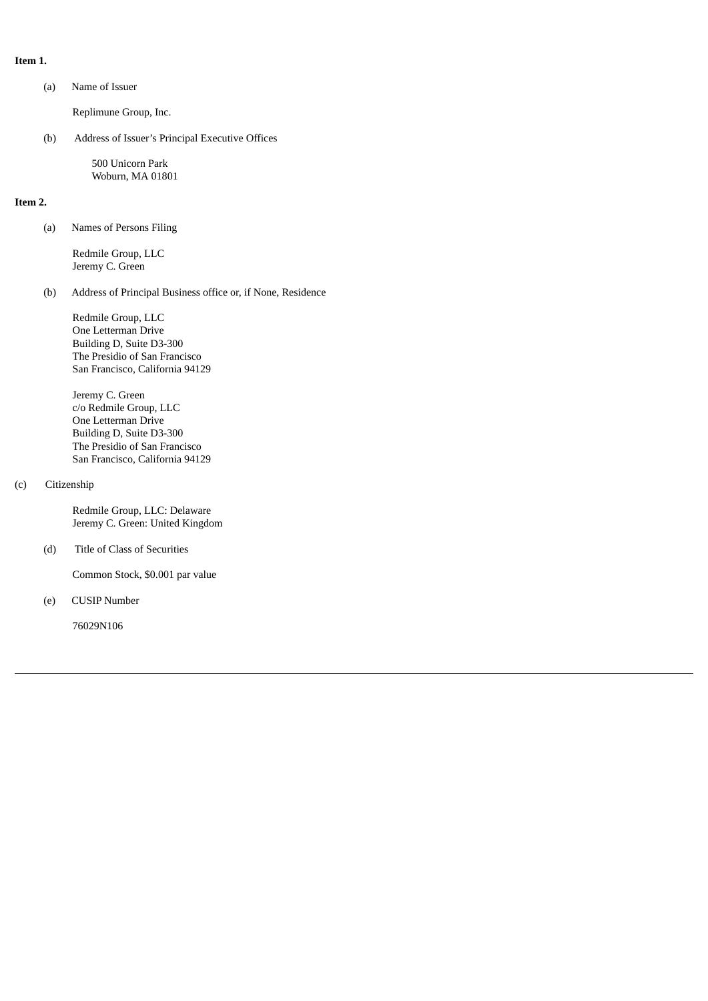**Item 1.**

(a) Name of Issuer

Replimune Group, Inc.

(b) Address of Issuer's Principal Executive Offices

500 Unicorn Park Woburn, MA 01801

#### **Item 2.**

(a) Names of Persons Filing

Redmile Group, LLC Jeremy C. Green

(b) Address of Principal Business office or, if None, Residence

Redmile Group, LLC One Letterman Drive Building D, Suite D3-300 The Presidio of San Francisco San Francisco, California 94129

Jeremy C. Green c/o Redmile Group, LLC One Letterman Drive Building D, Suite D3-300 The Presidio of San Francisco San Francisco, California 94129

### (c) Citizenship

Redmile Group, LLC: Delaware Jeremy C. Green: United Kingdom

(d) Title of Class of Securities

Common Stock, \$0.001 par value

(e) CUSIP Number

76029N106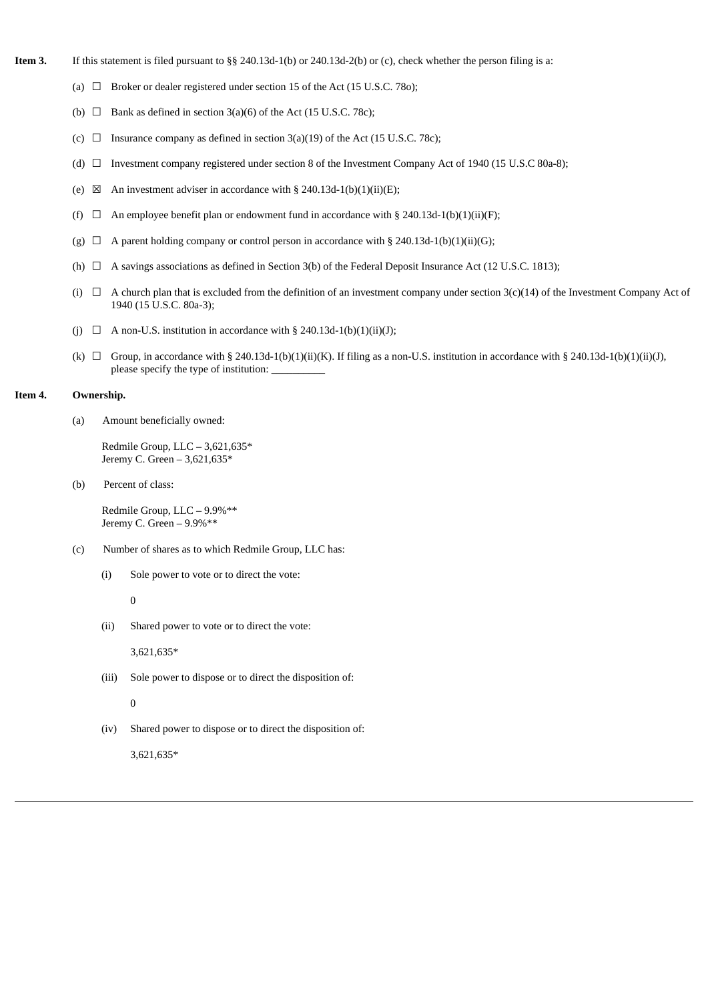- **Item 3.** If this statement is filed pursuant to §§ 240.13d-1(b) or 240.13d-2(b) or (c), check whether the person filing is a:
	- (a)  $\Box$  Broker or dealer registered under section 15 of the Act (15 U.S.C. 780);
	- (b)  $\Box$  Bank as defined in section 3(a)(6) of the Act (15 U.S.C. 78c);
	- (c)  $\Box$  Insurance company as defined in section 3(a)(19) of the Act (15 U.S.C. 78c);
	- (d) ☐ Investment company registered under section 8 of the Investment Company Act of 1940 (15 U.S.C 80a-8);
	- (e)  $\boxtimes$  An investment adviser in accordance with § 240.13d-1(b)(1)(ii)(E);
	- (f)  $\Box$  An employee benefit plan or endowment fund in accordance with § 240.13d-1(b)(1)(ii)(F);
	- (g)  $\Box$  A parent holding company or control person in accordance with § 240.13d-1(b)(1)(ii)(G);
	- (h)  $\Box$  A savings associations as defined in Section 3(b) of the Federal Deposit Insurance Act (12 U.S.C. 1813);
	- (i)  $\Box$  A church plan that is excluded from the definition of an investment company under section 3(c)(14) of the Investment Company Act of 1940 (15 U.S.C. 80a-3);
	- (j)  $\Box$  A non-U.S. institution in accordance with § 240.13d-1(b)(1)(ii)(J);
	- (k)  $\Box$  Group, in accordance with § 240.13d-1(b)(1)(ii)(K). If filing as a non-U.S. institution in accordance with § 240.13d-1(b)(1)(ii)(J), please specify the type of institution:

### **Item 4. Ownership.**

(a) Amount beneficially owned:

Redmile Group, LLC – 3,621,635\* Jeremy C. Green – 3,621,635\*

(b) Percent of class:

Redmile Group, LLC – 9.9%\*\* Jeremy C. Green – 9.9%\*\*

- (c) Number of shares as to which Redmile Group, LLC has:
	- (i) Sole power to vote or to direct the vote:

0

(ii) Shared power to vote or to direct the vote:

3,621,635\*

- (iii) Sole power to dispose or to direct the disposition of:
	- $\theta$
- (iv) Shared power to dispose or to direct the disposition of:

3,621,635\*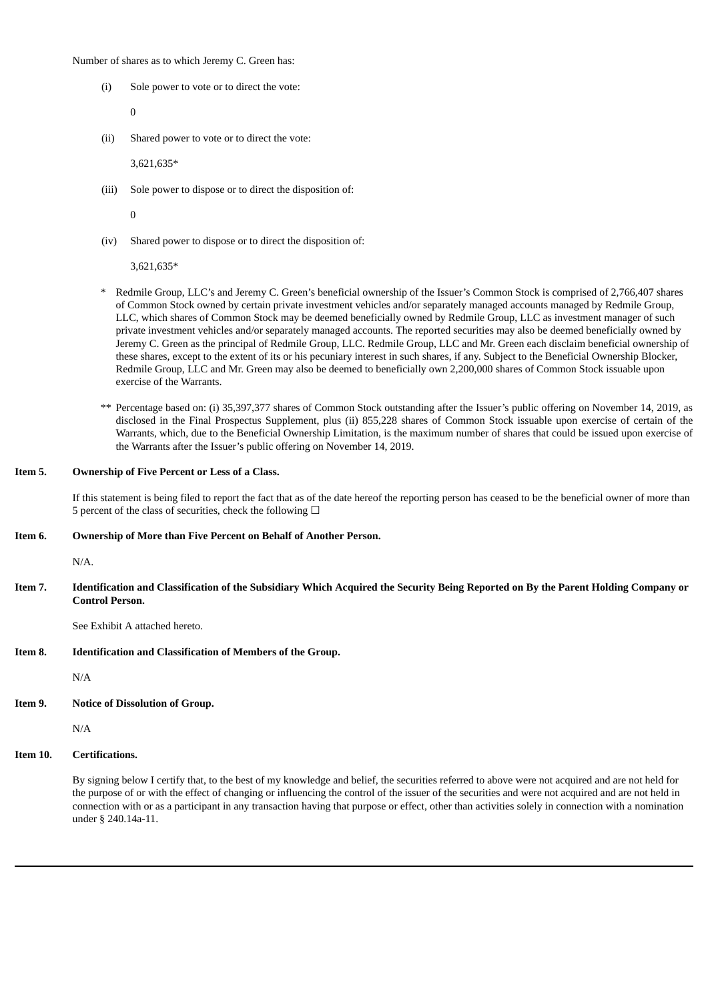Number of shares as to which Jeremy C. Green has:

(i) Sole power to vote or to direct the vote:

 $\Omega$ 

(ii) Shared power to vote or to direct the vote:

3,621,635\*

(iii) Sole power to dispose or to direct the disposition of:

 $\Omega$ 

(iv) Shared power to dispose or to direct the disposition of:

3,621,635\*

- \* Redmile Group, LLC's and Jeremy C. Green's beneficial ownership of the Issuer's Common Stock is comprised of 2,766,407 shares of Common Stock owned by certain private investment vehicles and/or separately managed accounts managed by Redmile Group, LLC, which shares of Common Stock may be deemed beneficially owned by Redmile Group, LLC as investment manager of such private investment vehicles and/or separately managed accounts. The reported securities may also be deemed beneficially owned by Jeremy C. Green as the principal of Redmile Group, LLC. Redmile Group, LLC and Mr. Green each disclaim beneficial ownership of these shares, except to the extent of its or his pecuniary interest in such shares, if any. Subject to the Beneficial Ownership Blocker, Redmile Group, LLC and Mr. Green may also be deemed to beneficially own 2,200,000 shares of Common Stock issuable upon exercise of the Warrants.
- \*\* Percentage based on: (i) 35,397,377 shares of Common Stock outstanding after the Issuer's public offering on November 14, 2019, as disclosed in the Final Prospectus Supplement, plus (ii) 855,228 shares of Common Stock issuable upon exercise of certain of the Warrants, which, due to the Beneficial Ownership Limitation, is the maximum number of shares that could be issued upon exercise of the Warrants after the Issuer's public offering on November 14, 2019.

#### **Item 5. Ownership of Five Percent or Less of a Class.**

If this statement is being filed to report the fact that as of the date hereof the reporting person has ceased to be the beneficial owner of more than 5 percent of the class of securities, check the following  $\Box$ 

#### **Item 6. Ownership of More than Five Percent on Behalf of Another Person.**

 $N/A$ 

Item 7. Identification and Classification of the Subsidiary Which Acquired the Security Being Reported on By the Parent Holding Company or **Control Person.**

See Exhibit A attached hereto.

**Item 8. Identification and Classification of Members of the Group.**

N/A

**Item 9. Notice of Dissolution of Group.**

N/A

## **Item 10. Certifications.**

By signing below I certify that, to the best of my knowledge and belief, the securities referred to above were not acquired and are not held for the purpose of or with the effect of changing or influencing the control of the issuer of the securities and were not acquired and are not held in connection with or as a participant in any transaction having that purpose or effect, other than activities solely in connection with a nomination under § 240.14a-11.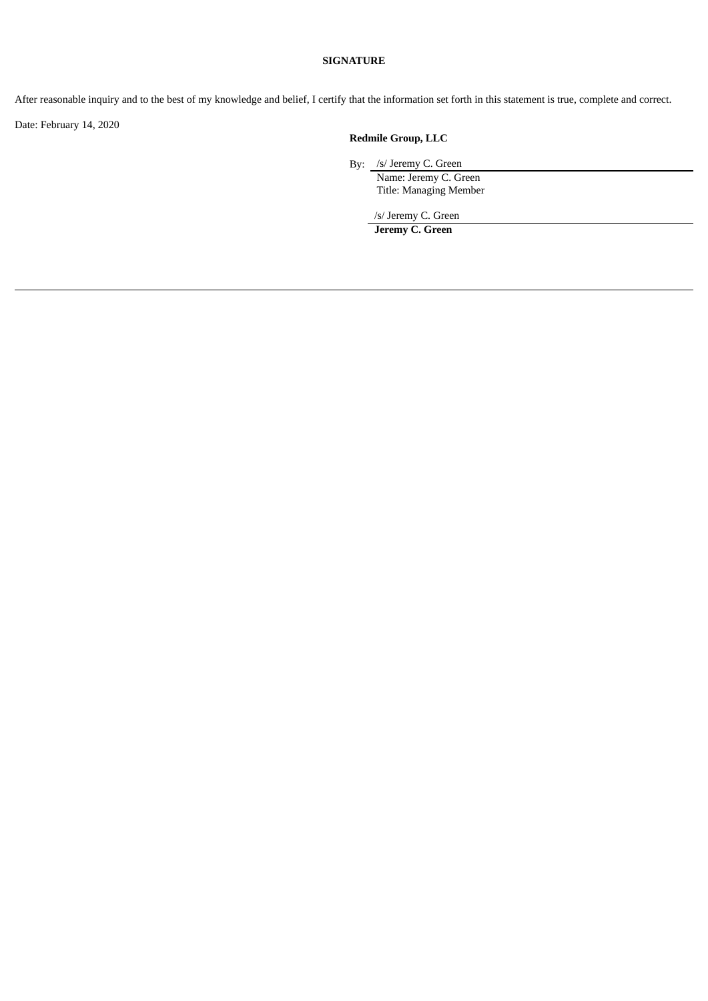# **SIGNATURE**

After reasonable inquiry and to the best of my knowledge and belief, I certify that the information set forth in this statement is true, complete and correct.

Date: February 14, 2020

# **Redmile Group, LLC**

By: /s/ Jeremy C. Green

Name: Jeremy C. Green Title: Managing Member

/s/ Jeremy C. Green

**Jeremy C. Green**